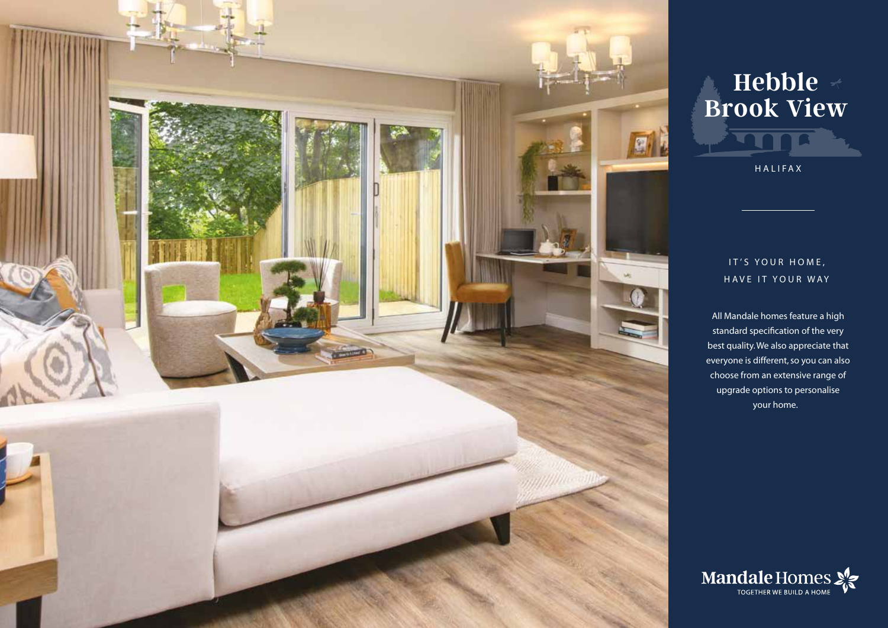

## **Hebble Brook View**

HALIFAX

## IT'S YOUR HOME, HAVE IT YOUR WAY

All Mandale homes feature a high standard specification of the very best quality. We also appreciate that everyone is different, so you can also choose from an extensive range of upgrade options to personalise your home.